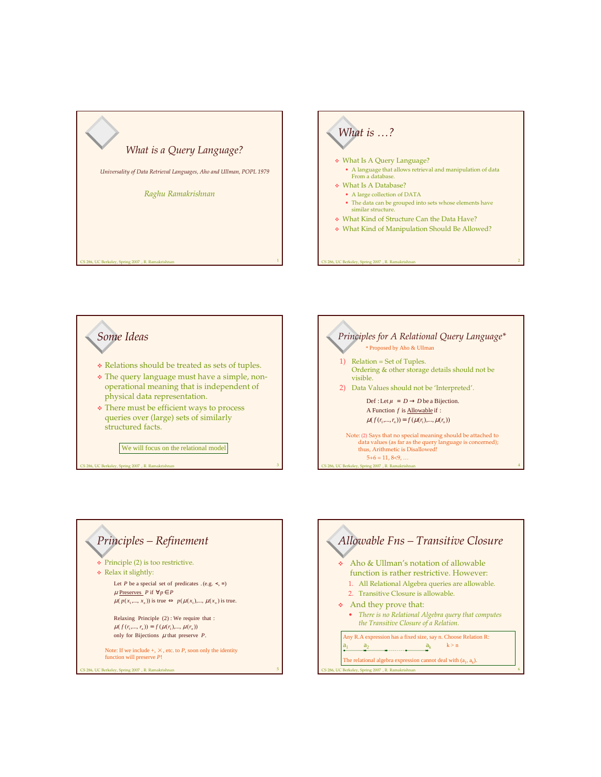







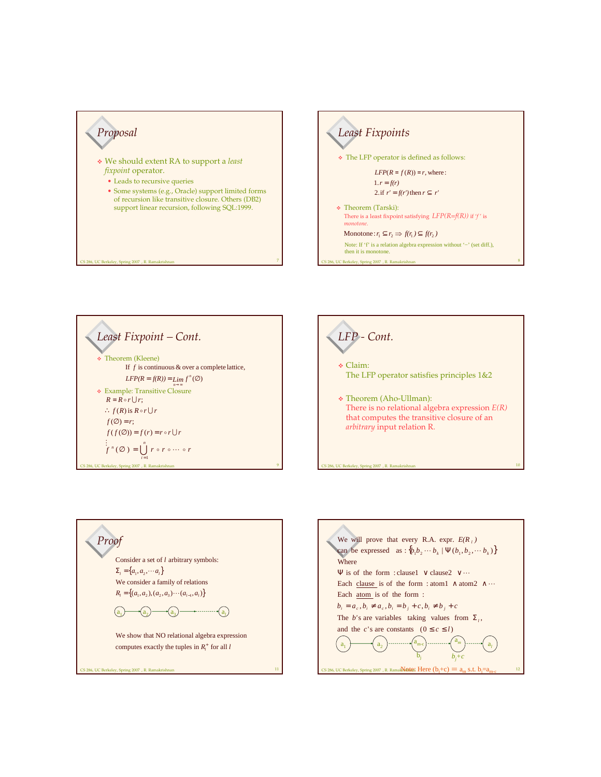









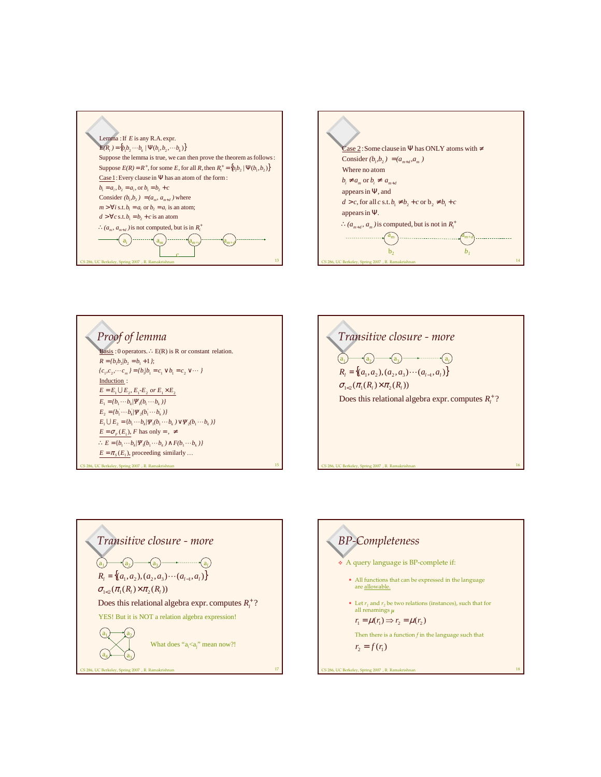





, UC Berkeley, Spring 2007, R. Ran 16 *Transitive closure - more*  $R_l = \{(a_1, a_2), (a_2, a_3) \cdots (a_{l-1}, a_l)\}$ Does this relational algebra expr. computes  $R_i^+$  ?  $\sigma_{1<2}(\pi_1(R_1)\times \pi_2(R_1))$  $\overline{a_1}$  $\cdot$ <sup>a</sup><sub>2</sub>)<sup>-</sup>  $a_3$   $\longrightarrow$   $a_l$